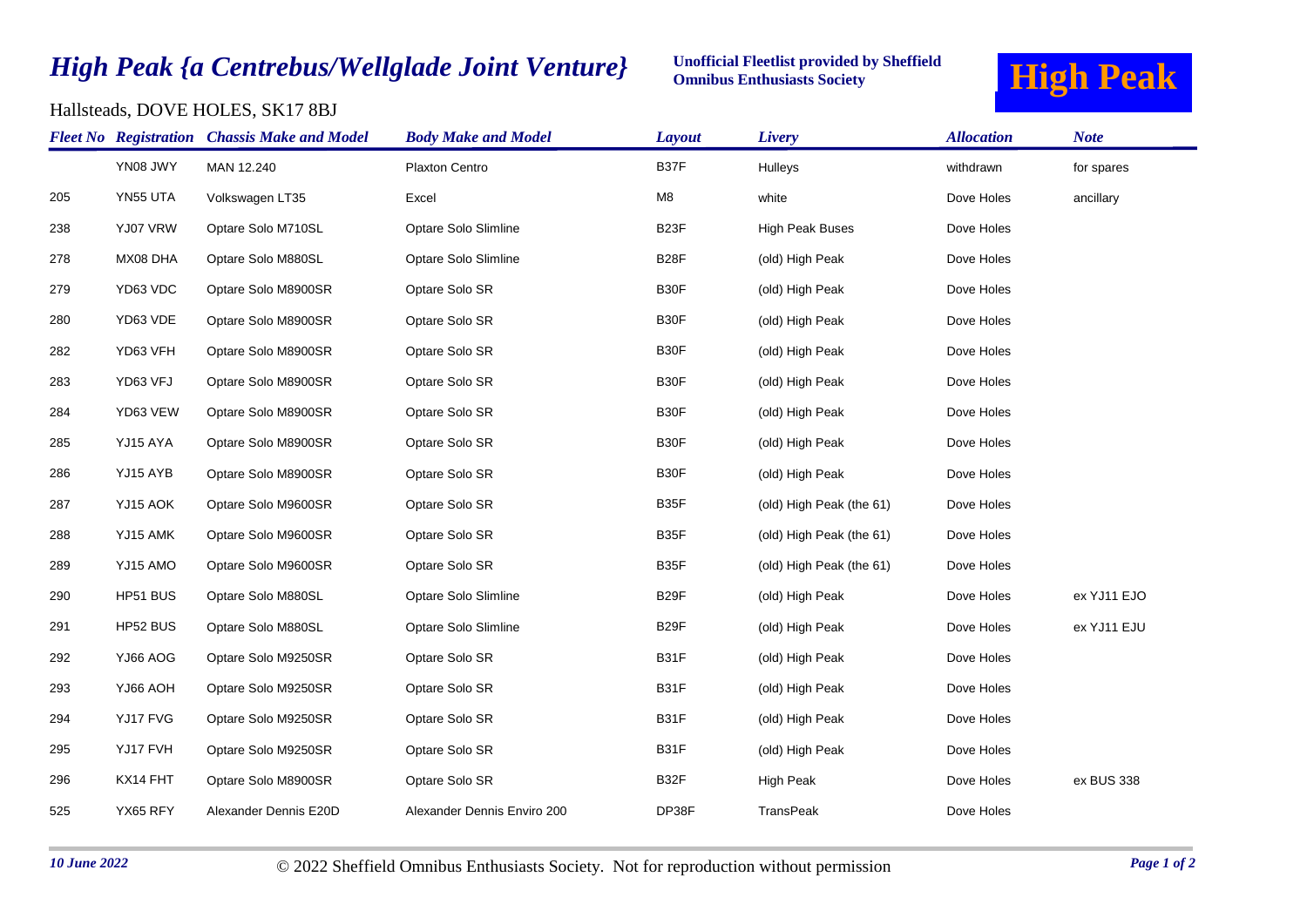## *High Peak {a Centrebus/Wellglade Joint Venture}*

## Unofficial Fleetlist provided by Sheffield **High Peak Omnibus Enthusiasts Society**



## Hallsteads, DOVE HOLES, SK17 8BJ

|     |                 | <b>Fleet No Registration Chassis Make and Model</b> | <b>Body Make and Model</b>  | Layout            | Livery                   | <b>Allocation</b> | <b>Note</b> |
|-----|-----------------|-----------------------------------------------------|-----------------------------|-------------------|--------------------------|-------------------|-------------|
|     | YN08 JWY        | MAN 12.240                                          | Plaxton Centro              | B37F              | Hulleys                  | withdrawn         | for spares  |
| 205 | YN55 UTA        | Volkswagen LT35                                     | Excel                       | M8                | white                    | Dove Holes        | ancillary   |
| 238 | YJ07 VRW        | Optare Solo M710SL                                  | Optare Solo Slimline        | B <sub>23</sub> F | <b>High Peak Buses</b>   | Dove Holes        |             |
| 278 | MX08 DHA        | Optare Solo M880SL                                  | Optare Solo Slimline        | B <sub>28</sub> F | (old) High Peak          | Dove Holes        |             |
| 279 | YD63 VDC        | Optare Solo M8900SR                                 | Optare Solo SR              | B30F              | (old) High Peak          | Dove Holes        |             |
| 280 | YD63 VDE        | Optare Solo M8900SR                                 | Optare Solo SR              | B30F              | (old) High Peak          | Dove Holes        |             |
| 282 | YD63 VFH        | Optare Solo M8900SR                                 | Optare Solo SR              | B30F              | (old) High Peak          | Dove Holes        |             |
| 283 | YD63 VFJ        | Optare Solo M8900SR                                 | Optare Solo SR              | B30F              | (old) High Peak          | Dove Holes        |             |
| 284 | YD63 VEW        | Optare Solo M8900SR                                 | Optare Solo SR              | B30F              | (old) High Peak          | Dove Holes        |             |
| 285 | YJ15 AYA        | Optare Solo M8900SR                                 | Optare Solo SR              | B30F              | (old) High Peak          | Dove Holes        |             |
| 286 | YJ15 AYB        | Optare Solo M8900SR                                 | Optare Solo SR              | B30F              | (old) High Peak          | Dove Holes        |             |
| 287 | YJ15 AOK        | Optare Solo M9600SR                                 | Optare Solo SR              | B35F              | (old) High Peak (the 61) | Dove Holes        |             |
| 288 | YJ15 AMK        | Optare Solo M9600SR                                 | Optare Solo SR              | B35F              | (old) High Peak (the 61) | Dove Holes        |             |
| 289 | YJ15 AMO        | Optare Solo M9600SR                                 | Optare Solo SR              | B35F              | (old) High Peak (the 61) | Dove Holes        |             |
| 290 | HP51 BUS        | Optare Solo M880SL                                  | Optare Solo Slimline        | B <sub>29</sub> F | (old) High Peak          | Dove Holes        | ex YJ11 EJO |
| 291 | HP52 BUS        | Optare Solo M880SL                                  | Optare Solo Slimline        | B <sub>29</sub> F | (old) High Peak          | Dove Holes        | ex YJ11 EJU |
| 292 | YJ66 AOG        | Optare Solo M9250SR                                 | Optare Solo SR              | B31F              | (old) High Peak          | Dove Holes        |             |
| 293 | <b>HOA 30LY</b> | Optare Solo M9250SR                                 | Optare Solo SR              | B31F              | (old) High Peak          | Dove Holes        |             |
| 294 | YJ17 FVG        | Optare Solo M9250SR                                 | Optare Solo SR              | B31F              | (old) High Peak          | Dove Holes        |             |
| 295 | YJ17 FVH        | Optare Solo M9250SR                                 | Optare Solo SR              | B31F              | (old) High Peak          | Dove Holes        |             |
| 296 | KX14 FHT        | Optare Solo M8900SR                                 | Optare Solo SR              | B32F              | High Peak                | Dove Holes        | ex BUS 338  |
| 525 | YX65 RFY        | Alexander Dennis E20D                               | Alexander Dennis Enviro 200 | DP38F             | <b>TransPeak</b>         | Dove Holes        |             |